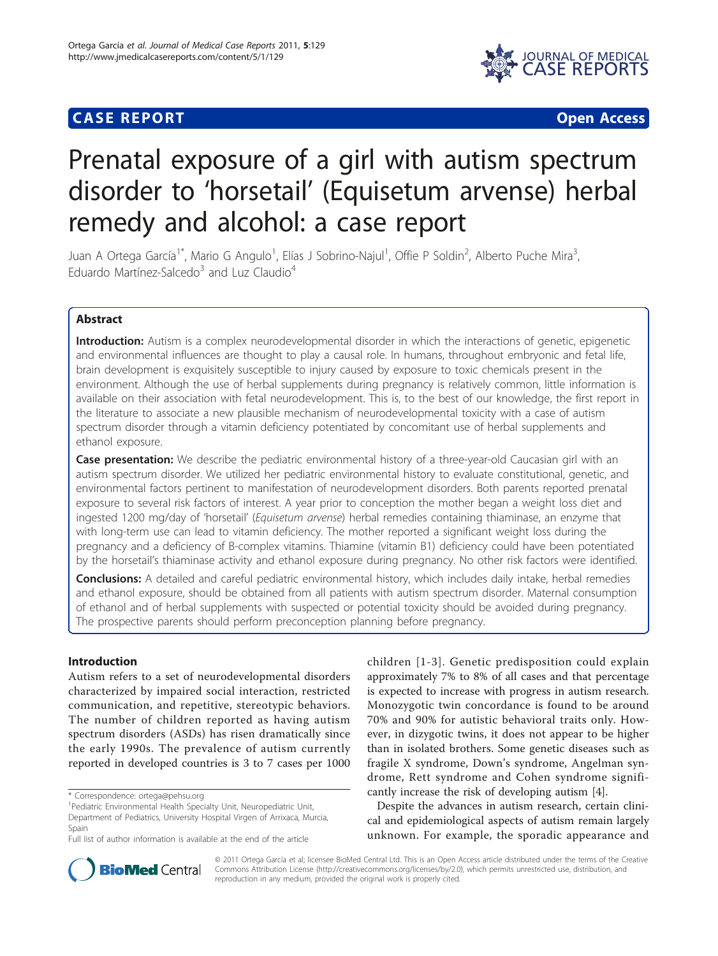## **CASE REPORT CASE REPORT CASE ACCESS**



# Prenatal exposure of a girl with autism spectrum disorder to 'horsetail' (Equisetum arvense) herbal remedy and alcohol: a case report

Juan A Ortega García<sup>1\*</sup>, Mario G Angulo<sup>1</sup>, Elías J Sobrino-Najul<sup>1</sup>, Offie P Soldin<sup>2</sup>, Alberto Puche Mira<sup>3</sup> , Eduardo Martínez-Salcedo $3$  and Luz Claudio $4$ 

## Abstract

Introduction: Autism is a complex neurodevelopmental disorder in which the interactions of genetic, epigenetic and environmental influences are thought to play a causal role. In humans, throughout embryonic and fetal life, brain development is exquisitely susceptible to injury caused by exposure to toxic chemicals present in the environment. Although the use of herbal supplements during pregnancy is relatively common, little information is available on their association with fetal neurodevelopment. This is, to the best of our knowledge, the first report in the literature to associate a new plausible mechanism of neurodevelopmental toxicity with a case of autism spectrum disorder through a vitamin deficiency potentiated by concomitant use of herbal supplements and ethanol exposure.

Case presentation: We describe the pediatric environmental history of a three-year-old Caucasian girl with an autism spectrum disorder. We utilized her pediatric environmental history to evaluate constitutional, genetic, and environmental factors pertinent to manifestation of neurodevelopment disorders. Both parents reported prenatal exposure to several risk factors of interest. A year prior to conception the mother began a weight loss diet and ingested 1200 mg/day of 'horsetail' (Equisetum arvense) herbal remedies containing thiaminase, an enzyme that with long-term use can lead to vitamin deficiency. The mother reported a significant weight loss during the pregnancy and a deficiency of B-complex vitamins. Thiamine (vitamin B1) deficiency could have been potentiated by the horsetail's thiaminase activity and ethanol exposure during pregnancy. No other risk factors were identified.

Conclusions: A detailed and careful pediatric environmental history, which includes daily intake, herbal remedies and ethanol exposure, should be obtained from all patients with autism spectrum disorder. Maternal consumption of ethanol and of herbal supplements with suspected or potential toxicity should be avoided during pregnancy. The prospective parents should perform preconception planning before pregnancy.

## Introduction

Autism refers to a set of neurodevelopmental disorders characterized by impaired social interaction, restricted communication, and repetitive, stereotypic behaviors. The number of children reported as having autism spectrum disorders (ASDs) has risen dramatically since the early 1990s. The prevalence of autism currently reported in developed countries is 3 to 7 cases per 1000

\* Correspondence: [ortega@pehsu.org](mailto:ortega@pehsu.org)

children [[1](#page-4-0)-[3](#page-4-0)]. Genetic predisposition could explain approximately 7% to 8% of all cases and that percentage is expected to increase with progress in autism research. Monozygotic twin concordance is found to be around 70% and 90% for autistic behavioral traits only. However, in dizygotic twins, it does not appear to be higher than in isolated brothers. Some genetic diseases such as fragile X syndrome, Down's syndrome, Angelman syndrome, Rett syndrome and Cohen syndrome significantly increase the risk of developing autism [\[4](#page-4-0)].

Despite the advances in autism research, certain clinical and epidemiological aspects of autism remain largely unknown. For example, the sporadic appearance and



© 2011 Ortega García et al; licensee BioMed Central Ltd. This is an Open Access article distributed under the terms of the Creative Commons Attribution License [\(http://creativecommons.org/licenses/by/2.0](http://creativecommons.org/licenses/by/2.0)), which permits unrestricted use, distribution, and reproduction in any medium, provided the original work is properly cited.

<sup>&</sup>lt;sup>1</sup> Pediatric Environmental Health Specialty Unit, Neuropediatric Unit, Department of Pediatrics, University Hospital Virgen of Arrixaca, Murcia, Spain

Full list of author information is available at the end of the article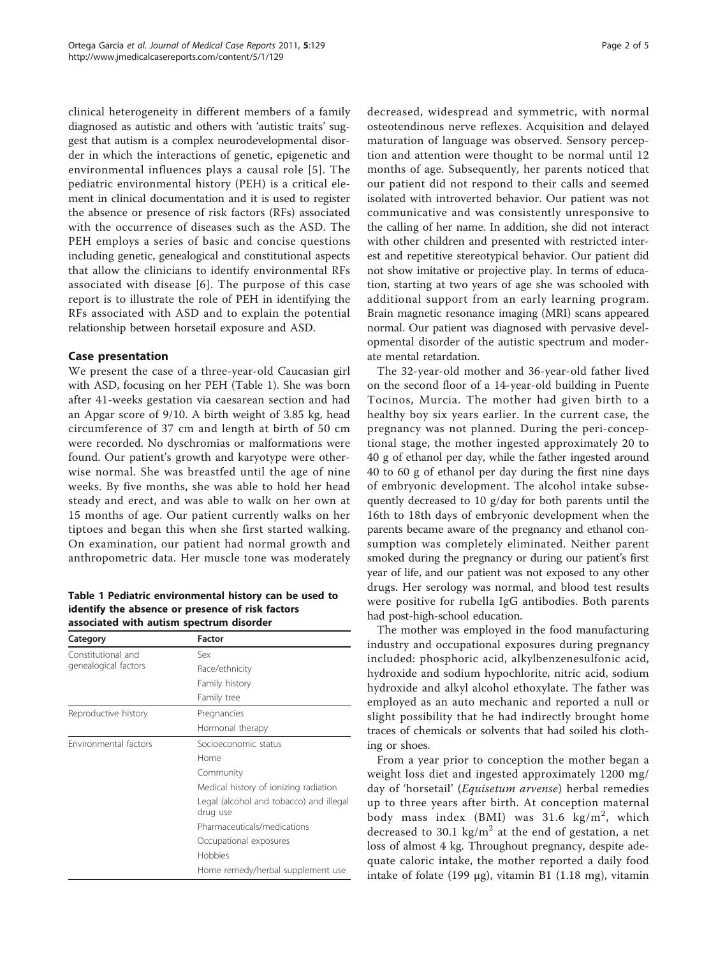clinical heterogeneity in different members of a family diagnosed as autistic and others with 'autistic traits' suggest that autism is a complex neurodevelopmental disorder in which the interactions of genetic, epigenetic and environmental influences plays a causal role [[5](#page-4-0)]. The pediatric environmental history (PEH) is a critical element in clinical documentation and it is used to register the absence or presence of risk factors (RFs) associated with the occurrence of diseases such as the ASD. The PEH employs a series of basic and concise questions including genetic, genealogical and constitutional aspects that allow the clinicians to identify environmental RFs associated with disease [[6](#page-4-0)]. The purpose of this case report is to illustrate the role of PEH in identifying the RFs associated with ASD and to explain the potential relationship between horsetail exposure and ASD.

## Case presentation

We present the case of a three-year-old Caucasian girl with ASD, focusing on her PEH (Table 1). She was born after 41-weeks gestation via caesarean section and had an Apgar score of 9/10. A birth weight of 3.85 kg, head circumference of 37 cm and length at birth of 50 cm were recorded. No dyschromias or malformations were found. Our patient's growth and karyotype were otherwise normal. She was breastfed until the age of nine weeks. By five months, she was able to hold her head steady and erect, and was able to walk on her own at 15 months of age. Our patient currently walks on her tiptoes and began this when she first started walking. On examination, our patient had normal growth and anthropometric data. Her muscle tone was moderately

Table 1 Pediatric environmental history can be used to identify the absence or presence of risk factors associated with autism spectrum disorder

| Category                                   | <b>Factor</b>                                       |
|--------------------------------------------|-----------------------------------------------------|
| Constitutional and<br>genealogical factors | Sex                                                 |
|                                            | Race/ethnicity                                      |
|                                            | Family history                                      |
|                                            | Family tree                                         |
| Reproductive history                       | Pregnancies                                         |
|                                            | Hormonal therapy                                    |
| <b>Environmental factors</b>               | Socioeconomic status                                |
|                                            | Home                                                |
|                                            | Community                                           |
|                                            | Medical history of ionizing radiation               |
|                                            | Legal (alcohol and tobacco) and illegal<br>drug use |
|                                            | Pharmaceuticals/medications                         |
|                                            | Occupational exposures                              |
|                                            | Hobbies                                             |
|                                            | Home remedy/herbal supplement use                   |

decreased, widespread and symmetric, with normal osteotendinous nerve reflexes. Acquisition and delayed maturation of language was observed. Sensory perception and attention were thought to be normal until 12 months of age. Subsequently, her parents noticed that our patient did not respond to their calls and seemed isolated with introverted behavior. Our patient was not communicative and was consistently unresponsive to the calling of her name. In addition, she did not interact with other children and presented with restricted interest and repetitive stereotypical behavior. Our patient did not show imitative or projective play. In terms of education, starting at two years of age she was schooled with additional support from an early learning program. Brain magnetic resonance imaging (MRI) scans appeared normal. Our patient was diagnosed with pervasive developmental disorder of the autistic spectrum and moderate mental retardation.

The 32-year-old mother and 36-year-old father lived on the second floor of a 14-year-old building in Puente Tocinos, Murcia. The mother had given birth to a healthy boy six years earlier. In the current case, the pregnancy was not planned. During the peri-conceptional stage, the mother ingested approximately 20 to 40 g of ethanol per day, while the father ingested around 40 to 60 g of ethanol per day during the first nine days of embryonic development. The alcohol intake subsequently decreased to 10 g/day for both parents until the 16th to 18th days of embryonic development when the parents became aware of the pregnancy and ethanol consumption was completely eliminated. Neither parent smoked during the pregnancy or during our patient's first year of life, and our patient was not exposed to any other drugs. Her serology was normal, and blood test results were positive for rubella IgG antibodies. Both parents had post-high-school education.

The mother was employed in the food manufacturing industry and occupational exposures during pregnancy included: phosphoric acid, alkylbenzenesulfonic acid, hydroxide and sodium hypochlorite, nitric acid, sodium hydroxide and alkyl alcohol ethoxylate. The father was employed as an auto mechanic and reported a null or slight possibility that he had indirectly brought home traces of chemicals or solvents that had soiled his clothing or shoes.

From a year prior to conception the mother began a weight loss diet and ingested approximately 1200 mg/ day of 'horsetail' (Equisetum arvense) herbal remedies up to three years after birth. At conception maternal body mass index (BMI) was 31.6 kg/m<sup>2</sup>, which decreased to 30.1 kg/ $m^2$  at the end of gestation, a net loss of almost 4 kg. Throughout pregnancy, despite adequate caloric intake, the mother reported a daily food intake of folate (199 μg), vitamin B1 (1.18 mg), vitamin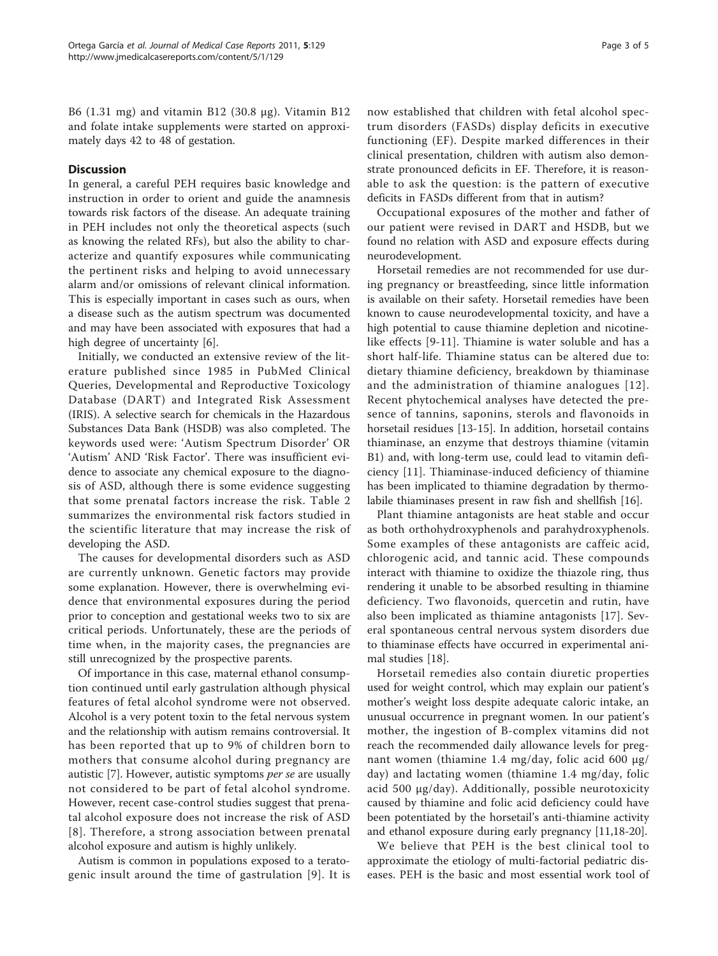B6 (1.31 mg) and vitamin B12 (30.8 μg). Vitamin B12 and folate intake supplements were started on approximately days 42 to 48 of gestation.

## **Discussion**

In general, a careful PEH requires basic knowledge and instruction in order to orient and guide the anamnesis towards risk factors of the disease. An adequate training in PEH includes not only the theoretical aspects (such as knowing the related RFs), but also the ability to characterize and quantify exposures while communicating the pertinent risks and helping to avoid unnecessary alarm and/or omissions of relevant clinical information. This is especially important in cases such as ours, when a disease such as the autism spectrum was documented and may have been associated with exposures that had a high degree of uncertainty [\[6](#page-4-0)].

Initially, we conducted an extensive review of the literature published since 1985 in PubMed Clinical Queries, Developmental and Reproductive Toxicology Database (DART) and Integrated Risk Assessment (IRIS). A selective search for chemicals in the Hazardous Substances Data Bank (HSDB) was also completed. The keywords used were: 'Autism Spectrum Disorder' OR 'Autism' AND 'Risk Factor'. There was insufficient evidence to associate any chemical exposure to the diagnosis of ASD, although there is some evidence suggesting that some prenatal factors increase the risk. Table [2](#page-3-0) summarizes the environmental risk factors studied in the scientific literature that may increase the risk of developing the ASD.

The causes for developmental disorders such as ASD are currently unknown. Genetic factors may provide some explanation. However, there is overwhelming evidence that environmental exposures during the period prior to conception and gestational weeks two to six are critical periods. Unfortunately, these are the periods of time when, in the majority cases, the pregnancies are still unrecognized by the prospective parents.

Of importance in this case, maternal ethanol consumption continued until early gastrulation although physical features of fetal alcohol syndrome were not observed. Alcohol is a very potent toxin to the fetal nervous system and the relationship with autism remains controversial. It has been reported that up to 9% of children born to mothers that consume alcohol during pregnancy are autistic [[7\]](#page-4-0). However, autistic symptoms per se are usually not considered to be part of fetal alcohol syndrome. However, recent case-control studies suggest that prenatal alcohol exposure does not increase the risk of ASD [[8\]](#page-4-0). Therefore, a strong association between prenatal alcohol exposure and autism is highly unlikely.

Autism is common in populations exposed to a teratogenic insult around the time of gastrulation [[9\]](#page-4-0). It is now established that children with fetal alcohol spectrum disorders (FASDs) display deficits in executive functioning (EF). Despite marked differences in their clinical presentation, children with autism also demonstrate pronounced deficits in EF. Therefore, it is reasonable to ask the question: is the pattern of executive deficits in FASDs different from that in autism?

Occupational exposures of the mother and father of our patient were revised in DART and HSDB, but we found no relation with ASD and exposure effects during neurodevelopment.

Horsetail remedies are not recommended for use during pregnancy or breastfeeding, since little information is available on their safety. Horsetail remedies have been known to cause neurodevelopmental toxicity, and have a high potential to cause thiamine depletion and nicotinelike effects [[9-11](#page-4-0)]. Thiamine is water soluble and has a short half-life. Thiamine status can be altered due to: dietary thiamine deficiency, breakdown by thiaminase and the administration of thiamine analogues [[12\]](#page-4-0). Recent phytochemical analyses have detected the presence of tannins, saponins, sterols and flavonoids in horsetail residues [[13-15\]](#page-4-0). In addition, horsetail contains thiaminase, an enzyme that destroys thiamine (vitamin B1) and, with long-term use, could lead to vitamin deficiency [[11\]](#page-4-0). Thiaminase-induced deficiency of thiamine has been implicated to thiamine degradation by thermolabile thiaminases present in raw fish and shellfish [\[16\]](#page-4-0).

Plant thiamine antagonists are heat stable and occur as both orthohydroxyphenols and parahydroxyphenols. Some examples of these antagonists are caffeic acid, chlorogenic acid, and tannic acid. These compounds interact with thiamine to oxidize the thiazole ring, thus rendering it unable to be absorbed resulting in thiamine deficiency. Two flavonoids, quercetin and rutin, have also been implicated as thiamine antagonists [[17\]](#page-4-0). Several spontaneous central nervous system disorders due to thiaminase effects have occurred in experimental animal studies [[18](#page-4-0)].

Horsetail remedies also contain diuretic properties used for weight control, which may explain our patient's mother's weight loss despite adequate caloric intake, an unusual occurrence in pregnant women. In our patient's mother, the ingestion of B-complex vitamins did not reach the recommended daily allowance levels for pregnant women (thiamine 1.4 mg/day, folic acid 600 μg/ day) and lactating women (thiamine 1.4 mg/day, folic acid 500 μg/day). Additionally, possible neurotoxicity caused by thiamine and folic acid deficiency could have been potentiated by the horsetail's anti-thiamine activity and ethanol exposure during early pregnancy [[11,18-20\]](#page-4-0).

We believe that PEH is the best clinical tool to approximate the etiology of multi-factorial pediatric diseases. PEH is the basic and most essential work tool of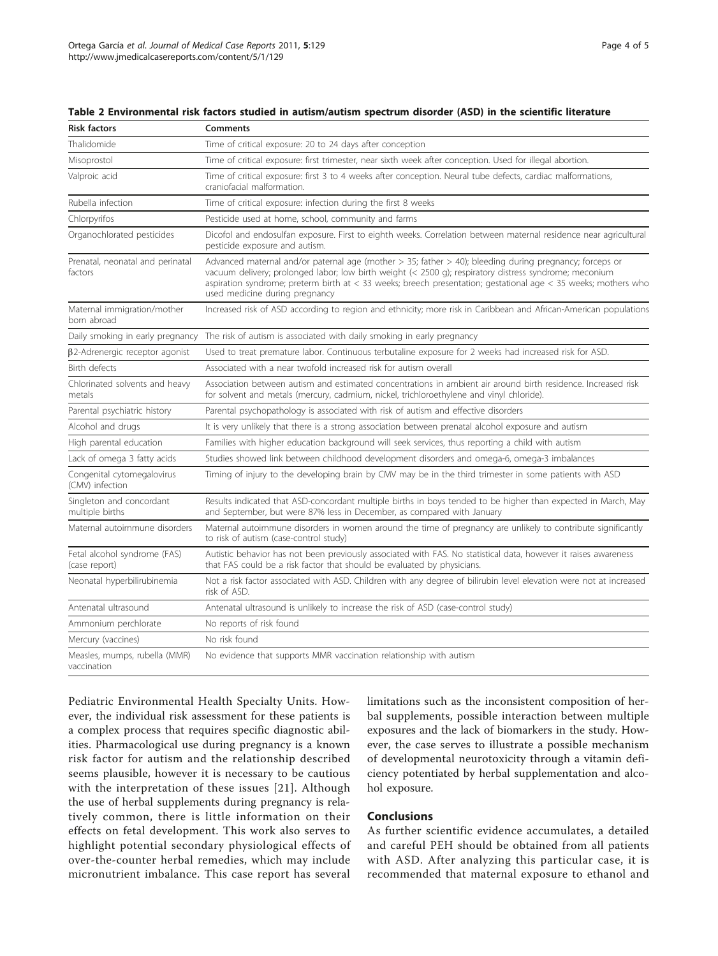| <b>Risk factors</b>                           | <b>Comments</b>                                                                                                                                                                                                                                                                                                                                                       |
|-----------------------------------------------|-----------------------------------------------------------------------------------------------------------------------------------------------------------------------------------------------------------------------------------------------------------------------------------------------------------------------------------------------------------------------|
| Thalidomide                                   | Time of critical exposure: 20 to 24 days after conception                                                                                                                                                                                                                                                                                                             |
| Misoprostol                                   | Time of critical exposure: first trimester, near sixth week after conception. Used for illegal abortion.                                                                                                                                                                                                                                                              |
| Valproic acid                                 | Time of critical exposure: first 3 to 4 weeks after conception. Neural tube defects, cardiac malformations,<br>craniofacial malformation.                                                                                                                                                                                                                             |
| Rubella infection                             | Time of critical exposure: infection during the first 8 weeks                                                                                                                                                                                                                                                                                                         |
| Chlorpyrifos                                  | Pesticide used at home, school, community and farms                                                                                                                                                                                                                                                                                                                   |
| Organochlorated pesticides                    | Dicofol and endosulfan exposure. First to eighth weeks. Correlation between maternal residence near agricultural<br>pesticide exposure and autism.                                                                                                                                                                                                                    |
| Prenatal, neonatal and perinatal<br>factors   | Advanced maternal and/or paternal age (mother > 35; father > 40); bleeding during pregnancy; forceps or<br>vacuum delivery; prolonged labor; low birth weight (< 2500 q); respiratory distress syndrome; meconium<br>aspiration syndrome; preterm birth at < 33 weeks; breech presentation; gestational age < 35 weeks; mothers who<br>used medicine during pregnancy |
| Maternal immigration/mother<br>born abroad    | Increased risk of ASD according to region and ethnicity; more risk in Caribbean and African-American populations                                                                                                                                                                                                                                                      |
| Daily smoking in early pregnancy              | The risk of autism is associated with daily smoking in early pregnancy                                                                                                                                                                                                                                                                                                |
| $\beta$ 2-Adrenergic receptor agonist         | Used to treat premature labor. Continuous terbutaline exposure for 2 weeks had increased risk for ASD.                                                                                                                                                                                                                                                                |
| Birth defects                                 | Associated with a near twofold increased risk for autism overall                                                                                                                                                                                                                                                                                                      |
| Chlorinated solvents and heavy<br>metals      | Association between autism and estimated concentrations in ambient air around birth residence. Increased risk<br>for solvent and metals (mercury, cadmium, nickel, trichloroethylene and vinyl chloride).                                                                                                                                                             |
| Parental psychiatric history                  | Parental psychopathology is associated with risk of autism and effective disorders                                                                                                                                                                                                                                                                                    |
| Alcohol and drugs                             | It is very unlikely that there is a strong association between prenatal alcohol exposure and autism                                                                                                                                                                                                                                                                   |
| High parental education                       | Families with higher education background will seek services, thus reporting a child with autism                                                                                                                                                                                                                                                                      |
| Lack of omega 3 fatty acids                   | Studies showed link between childhood development disorders and omega-6, omega-3 imbalances                                                                                                                                                                                                                                                                           |
| Congenital cytomegalovirus<br>(CMV) infection | Timing of injury to the developing brain by CMV may be in the third trimester in some patients with ASD                                                                                                                                                                                                                                                               |
| Singleton and concordant<br>multiple births   | Results indicated that ASD-concordant multiple births in boys tended to be higher than expected in March, May<br>and September, but were 87% less in December, as compared with January                                                                                                                                                                               |
| Maternal autoimmune disorders                 | Maternal autoimmune disorders in women around the time of pregnancy are unlikely to contribute significantly<br>to risk of autism (case-control study)                                                                                                                                                                                                                |
| Fetal alcohol syndrome (FAS)<br>(case report) | Autistic behavior has not been previously associated with FAS. No statistical data, however it raises awareness<br>that FAS could be a risk factor that should be evaluated by physicians.                                                                                                                                                                            |
| Neonatal hyperbilirubinemia                   | Not a risk factor associated with ASD. Children with any degree of bilirubin level elevation were not at increased<br>risk of ASD.                                                                                                                                                                                                                                    |
| Antenatal ultrasound                          | Antenatal ultrasound is unlikely to increase the risk of ASD (case-control study)                                                                                                                                                                                                                                                                                     |
| Ammonium perchlorate                          | No reports of risk found                                                                                                                                                                                                                                                                                                                                              |
| Mercury (vaccines)                            | No risk found                                                                                                                                                                                                                                                                                                                                                         |
| Measles, mumps, rubella (MMR)<br>vaccination  | No evidence that supports MMR vaccination relationship with autism                                                                                                                                                                                                                                                                                                    |

<span id="page-3-0"></span>Table 2 Environmental risk factors studied in autism/autism spectrum disorder (ASD) in the scientific literature

Pediatric Environmental Health Specialty Units. However, the individual risk assessment for these patients is a complex process that requires specific diagnostic abilities. Pharmacological use during pregnancy is a known risk factor for autism and the relationship described seems plausible, however it is necessary to be cautious with the interpretation of these issues [[21\]](#page-4-0). Although the use of herbal supplements during pregnancy is relatively common, there is little information on their effects on fetal development. This work also serves to highlight potential secondary physiological effects of over-the-counter herbal remedies, which may include micronutrient imbalance. This case report has several

limitations such as the inconsistent composition of herbal supplements, possible interaction between multiple exposures and the lack of biomarkers in the study. However, the case serves to illustrate a possible mechanism of developmental neurotoxicity through a vitamin deficiency potentiated by herbal supplementation and alcohol exposure.

## Conclusions

As further scientific evidence accumulates, a detailed and careful PEH should be obtained from all patients with ASD. After analyzing this particular case, it is recommended that maternal exposure to ethanol and